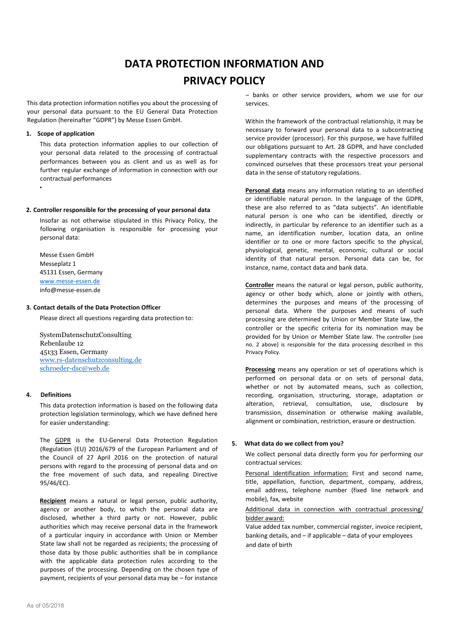# **DATA PROTECTION INFORMATION AND PRIVACY POLICY**

This data protection information notifies you about the processing of your personal data pursuant to the EU General Data Protection Regulation (hereinafter "GDPR") by Messe Essen GmbH.

## **1. Scope of application**

•

This data protection information applies to our collection of your personal data related to the processing of contractual performances between you as client and us as well as for further regular exchange of information in connection with our contractual performances

#### **2. Controller responsible for the processing of your personal data**

Insofar as not otherwise stipulated in this Privacy Policy, the following organisation is responsible for processing your personal data:

Messe Essen GmbH Messeplatz 1 45131 Essen, Germany [www.messe-essen.de](http://www.messe-essen.de/) info@messe-essen.de

#### **3. Contact details of the Data Protection Officer**

Please direct all questions regarding data protection to:

SystemDatenschutzConsulting Rebenlaube 12 45133 Essen, Germany [www.rs-datenschutzconsulting.de](http://www.rs-datenschutzconsulting.de/) [schroeder-dsc@web.de](mailto:schroeder-dsc@web.de)

## **4. Definitions**

This data protection information is based on the following data protection legislation terminology, which we have defined here for easier understanding:

The GDPR is the EU-General Data Protection Regulation (Regulation (EU) 2016/679 of the European Parliament and of the Council of 27 April 2016 on the protection of natural persons with regard to the processing of personal data and on the free movement of such data, and repealing Directive 95/46/EC).

**Recipient** means a natural or legal person, public authority, agency or another body, to which the personal data are disclosed, whether a third party or not. However, public authorities which may receive personal data in the framework of a particular inquiry in accordance with Union or Member State law shall not be regarded as recipients; the processing of those data by those public authorities shall be in compliance with the applicable data protection rules according to the purposes of the processing. Depending on the chosen type of payment, recipients of your personal data may be – for instance

Within the framework of the contractual relationship, it may be necessary to forward your personal data to a subcontracting service provider (processor). For this purpose, we have fulfilled our obligations pursuant to Art. 28 GDPR, and have concluded supplementary contracts with the respective processors and convinced ourselves that these processors treat your personal data in the sense of statutory regulations.

**Personal data** means any information relating to an identified or identifiable natural person. In the language of the GDPR, these are also referred to as "data subjects". An identifiable natural person is one who can be identified, directly or indirectly, in particular by reference to an identifier such as a name, an identification number, location data, an online identifier or to one or more factors specific to the physical, physiological, genetic, mental, economic, cultural or social identity of that natural person. Personal data can be, for instance, name, contact data and bank data.

**Controller** means the natural or legal person, public authority, agency or other body which, alone or jointly with others, determines the purposes and means of the processing of personal data. Where the purposes and means of such processing are determined by Union or Member State law, the controller or the specific criteria for its nomination may be provided for by Union or Member State law. The controller (see no. 2 above) is responsible for the data processing described in this Privacy Policy.

**Processing** means any operation or set of operations which is performed on personal data or on sets of personal data, whether or not by automated means, such as collection, recording, organisation, structuring, storage, adaptation or alteration, retrieval, consultation, use, disclosure by transmission, dissemination or otherwise making available, alignment or combination, restriction, erasure or destruction.

## **5. What data do we collect from you?**

We collect personal data directly form you for performing our contractual services:

Personal identification information: First and second name, title, appellation, function, department, company, address, email address, telephone number (fixed line network and mobile), fax, website

# Additional data in connection with contractual processing/ bidder award:

Value added tax number, commercial register, invoice recipient, banking details, and – if applicable – data of your employees and date of birth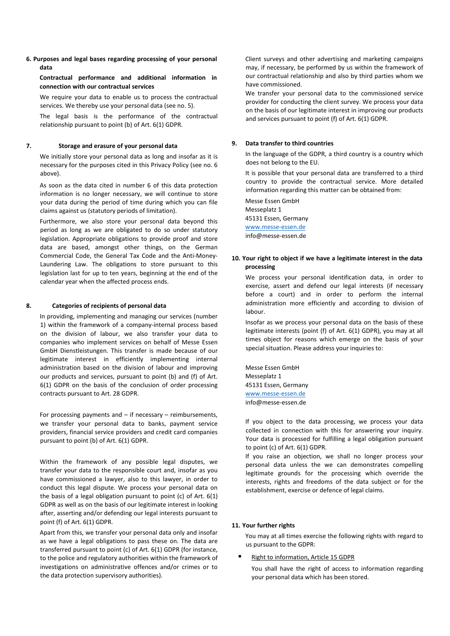## **6. Purposes and legal bases regarding processing of your personal data**

**Contractual performance and additional information in connection with our contractual services**

We require your data to enable us to process the contractual services. We thereby use your personal data (see no. 5).

The legal basis is the performance of the contractual relationship pursuant to point (b) of Art. 6(1) GDPR.

## **7. Storage and erasure of your personal data**

We initially store your personal data as long and insofar as it is necessary for the purposes cited in this Privacy Policy (see no. 6 above).

As soon as the data cited in number 6 of this data protection information is no longer necessary, we will continue to store your data during the period of time during which you can file claims against us (statutory periods of limitation).

Furthermore, we also store your personal data beyond this period as long as we are obligated to do so under statutory legislation. Appropriate obligations to provide proof and store data are based, amongst other things, on the German Commercial Code, the General Tax Code and the Anti-Money-Laundering Law. The obligations to store pursuant to this legislation last for up to ten years, beginning at the end of the calendar year when the affected process ends.

#### **8. Categories of recipients of personal data**

In providing, implementing and managing our services (number 1) within the framework of a company-internal process based on the division of labour, we also transfer your data to companies who implement services on behalf of Messe Essen GmbH Dienstleistungen. This transfer is made because of our legitimate interest in efficiently implementing internal administration based on the division of labour and improving our products and services, pursuant to point (b) and (f) of Art. 6(1) GDPR on the basis of the conclusion of order processing contracts pursuant to Art. 28 GDPR.

For processing payments and  $-$  if necessary  $-$  reimbursements, we transfer your personal data to banks, payment service providers, financial service providers and credit card companies pursuant to point (b) of Art. 6(1) GDPR.

Within the framework of any possible legal disputes, we transfer your data to the responsible court and, insofar as you have commissioned a lawyer, also to this lawyer, in order to conduct this legal dispute. We process your personal data on the basis of a legal obligation pursuant to point (c) of Art. 6(1) GDPR as well as on the basis of our legitimate interest in looking after, asserting and/or defending our legal interests pursuant to point (f) of Art. 6(1) GDPR.

Apart from this, we transfer your personal data only and insofar as we have a legal obligations to pass these on. The data are transferred pursuant to point (c) of Art. 6(1) GDPR (for instance, to the police and regulatory authorities within the framework of investigations on administrative offences and/or crimes or to the data protection supervisory authorities).

Client surveys and other advertising and marketing campaigns may, if necessary, be performed by us within the framework of our contractual relationship and also by third parties whom we have commissioned.

We transfer your personal data to the commissioned service provider for conducting the client survey. We process your data on the basis of our legitimate interest in improving our products and services pursuant to point (f) of Art. 6(1) GDPR.

#### **9. Data transfer to third countries**

In the language of the GDPR, a third country is a country which does not belong to the EU.

It is possible that your personal data are transferred to a third country to provide the contractual service. More detailed information regarding this matter can be obtained from:

Messe Essen GmbH Messeplatz 1 45131 Essen, Germany [www.messe-essen.de](http://www.messe-essen.de/) info@messe-essen.de

# **10. Your right to object if we have a legitimate interest in the data processing**

We process your personal identification data, in order to exercise, assert and defend our legal interests (if necessary before a court) and in order to perform the internal administration more efficiently and according to division of labour.

Insofar as we process your personal data on the basis of these legitimate interests (point (f) of Art. 6(1) GDPR), you may at all times object for reasons which emerge on the basis of your special situation. Please address your inquiries to:

Messe Essen GmbH Messeplatz 1 45131 Essen, Germany [www.messe-essen.de](http://www.messe-essen.de/) info@messe-essen.de

If you object to the data processing, we process your data collected in connection with this for answering your inquiry. Your data is processed for fulfilling a legal obligation pursuant to point (c) of Art. 6(1) GDPR.

If you raise an objection, we shall no longer process your personal data unless the we can demonstrates compelling legitimate grounds for the processing which override the interests, rights and freedoms of the data subject or for the establishment, exercise or defence of legal claims.

#### **11. Your further rights**

You may at all times exercise the following rights with regard to us pursuant to the GDPR:

Right to information, Article 15 GDPR

You shall have the right of access to information regarding your personal data which has been stored.